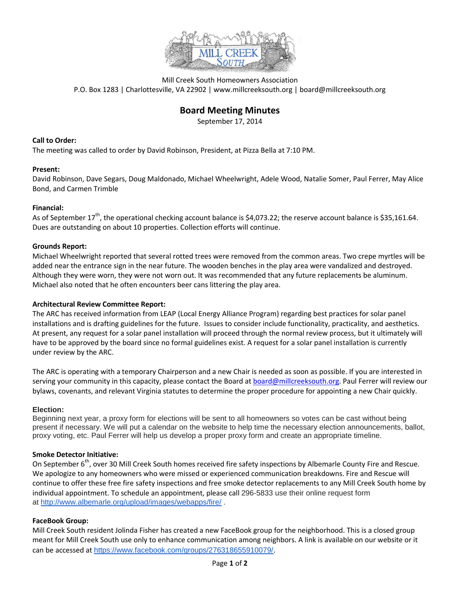

Mill Creek South Homeowners Association P.O. Box 1283 | Charlottesville, VA 22902 | www.millcreeksouth.org | board@millcreeksouth.org

# **Board Meeting Minutes**

September 17, 2014

# **Call to Order:**

The meeting was called to order by David Robinson, President, at Pizza Bella at 7:10 PM.

## **Present:**

David Robinson, Dave Segars, Doug Maldonado, Michael Wheelwright, Adele Wood, Natalie Somer, Paul Ferrer, May Alice Bond, and Carmen Trimble

## **Financial:**

As of September  $17^{th}$ , the operational checking account balance is \$4,073.22; the reserve account balance is \$35,161.64. Dues are outstanding on about 10 properties. Collection efforts will continue.

## **Grounds Report:**

Michael Wheelwright reported that several rotted trees were removed from the common areas. Two crepe myrtles will be added near the entrance sign in the near future. The wooden benches in the play area were vandalized and destroyed. Although they were worn, they were not worn out. It was recommended that any future replacements be aluminum. Michael also noted that he often encounters beer cans littering the play area.

#### **Architectural Review Committee Report:**

The ARC has received information from LEAP (Local Energy Alliance Program) regarding best practices for solar panel installations and is drafting guidelines for the future. Issues to consider include functionality, practicality, and aesthetics. At present, any request for a solar panel installation will proceed through the normal review process, but it ultimately will have to be approved by the board since no formal guidelines exist. A request for a solar panel installation is currently under review by the ARC.

The ARC is operating with a temporary Chairperson and a new Chair is needed as soon as possible. If you are interested in serving your community in this capacity, please contact the Board at [board@millcreeksouth.org.](mailto:board@millcreeksouth.org) Paul Ferrer will review our bylaws, covenants, and relevant Virginia statutes to determine the proper procedure for appointing a new Chair quickly.

#### **Election:**

Beginning next year, a proxy form for elections will be sent to all homeowners so votes can be cast without being present if necessary. We will put a calendar on the website to help time the necessary election announcements, ballot, proxy voting, etc. Paul Ferrer will help us develop a proper proxy form and create an appropriate timeline.

# **Smoke Detector Initiative:**

On September 6<sup>th</sup>, over 30 Mill Creek South homes received fire safety inspections by Albemarle County Fire and Rescue. We apologize to any homeowners who were missed or experienced communication breakdowns. Fire and Rescue will continue to offer these free fire safety inspections and free smoke detector replacements to any Mill Creek South home by individual appointment. To schedule an appointment, please call 296-5833 use their online request form at <http://www.albemarle.org/upload/images/webapps/fire/> .

# **FaceBook Group:**

Mill Creek South resident Jolinda Fisher has created a new FaceBook group for the neighborhood. This is a closed group meant for Mill Creek South use only to enhance communication among neighbors. A link is available on our website or it can be accessed at <https://www.facebook.com/groups/276318655910079/>.